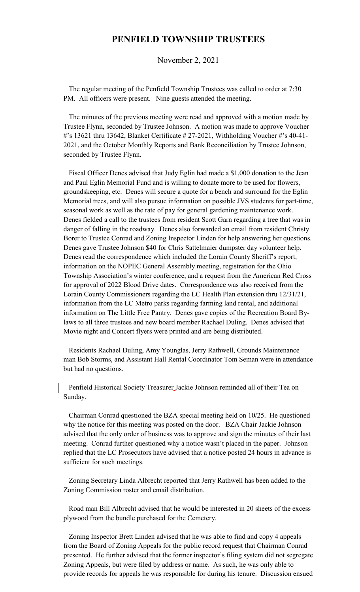## **PENFIELD TOWNSHIP TRUSTEES**

November 2, 2021

 The regular meeting of the Penfield Township Trustees was called to order at 7:30 PM. All officers were present. Nine guests attended the meeting.

 The minutes of the previous meeting were read and approved with a motion made by Trustee Flynn, seconded by Trustee Johnson. A motion was made to approve Voucher #'s 13621 thru 13642, Blanket Certificate # 27-2021, Withholding Voucher #'s 40-41- 2021, and the October Monthly Reports and Bank Reconciliation by Trustee Johnson, seconded by Trustee Flynn.

 Fiscal Officer Denes advised that Judy Eglin had made a \$1,000 donation to the Jean and Paul Eglin Memorial Fund and is willing to donate more to be used for flowers, groundskeeping, etc. Denes will secure a quote for a bench and surround for the Eglin Memorial trees, and will also pursue information on possible JVS students for part-time, seasonal work as well as the rate of pay for general gardening maintenance work. Denes fielded a call to the trustees from resident Scott Garn regarding a tree that was in danger of falling in the roadway. Denes also forwarded an email from resident Christy Borer to Trustee Conrad and Zoning Inspector Linden for help answering her questions. Denes gave Trustee Johnson \$40 for Chris Sattelmaier dumpster day volunteer help. Denes read the correspondence which included the Lorain County Sheriff's report, information on the NOPEC General Assembly meeting, registration for the Ohio Township Association's winter conference, and a request from the American Red Cross for approval of 2022 Blood Drive dates. Correspondence was also received from the Lorain County Commissioners regarding the LC Health Plan extension thru 12/31/21, information from the LC Metro parks regarding farming land rental, and additional information on The Little Free Pantry. Denes gave copies of the Recreation Board Bylaws to all three trustees and new board member Rachael Duling. Denes advised that Movie night and Concert flyers were printed and are being distributed.

 Residents Rachael Duling, Amy Younglas, Jerry Rathwell, Grounds Maintenance man Bob Storms, and Assistant Hall Rental Coordinator Tom Seman were in attendance but had no questions.

 Penfield Historical Society Treasurer Jackie Johnson reminded all of their Tea on Sunday.

 Chairman Conrad questioned the BZA special meeting held on 10/25. He questioned why the notice for this meeting was posted on the door. BZA Chair Jackie Johnson advised that the only order of business was to approve and sign the minutes of their last meeting. Conrad further questioned why a notice wasn't placed in the paper. Johnson replied that the LC Prosecutors have advised that a notice posted 24 hours in advance is sufficient for such meetings.

 Zoning Secretary Linda Albrecht reported that Jerry Rathwell has been added to the Zoning Commission roster and email distribution.

 Road man Bill Albrecht advised that he would be interested in 20 sheets of the excess plywood from the bundle purchased for the Cemetery.

 Zoning Inspector Brett Linden advised that he was able to find and copy 4 appeals from the Board of Zoning Appeals for the public record request that Chairman Conrad presented. He further advised that the former inspector's filing system did not segregate Zoning Appeals, but were filed by address or name. As such, he was only able to provide records for appeals he was responsible for during his tenure. Discussion ensued